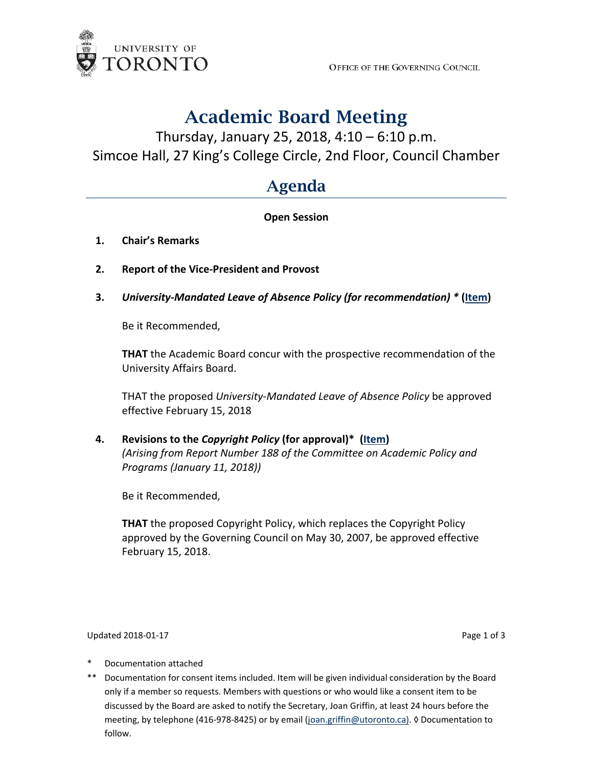



# Academic Board Meeting

Thursday, January 25, 2018, 4:10 – 6:10 p.m. Simcoe Hall, 27 King's College Circle, 2nd Floor, Council Chamber

## Agenda

### **Open Session**

- **1. Chair's Remarks**
- **2. Report of the Vice-President and Provost**
- **3.** *University-Mandated Leave of Absence Policy (for recommendation) \** **[\(Item\)](http://www.governingcouncil.lamp4.utoronto.ca/wp-content/uploads/2018/01/a0125-3-2017-2018ab-03_AB.pdf)**

Be it Recommended,

**THAT** the Academic Board concur with the prospective recommendation of the University Affairs Board.

THAT the proposed *University-Mandated Leave of Absence Policy* be approved effective February 15, 2018

**4. Revisions to the** *Copyright Policy* **(for approval)\* [\(Item\)](http://www.governingcouncil.lamp4.utoronto.ca/wp-content/uploads/2018/01/a0125-4-2017-2018ab.pdf)** *(Arising from Report Number 188 of the Committee on Academic Policy and Programs (January 11, 2018))*

Be it Recommended,

**THAT** the proposed Copyright Policy, which replaces the Copyright Policy approved by the Governing Council on May 30, 2007, be approved effective February 15, 2018.

Updated 2018-01-17 Page 1 of 3

- Documentation attached
- \*\* Documentation for consent items included. Item will be given individual consideration by the Board only if a member so requests. Members with questions or who would like a consent item to be discussed by the Board are asked to notify the Secretary, Joan Griffin, at least 24 hours before the meeting, by telephone (416-978-8425) or by email [\(joan.griffin@utoronto.ca\)](mailto:joan.griffin@utoronto.ca). ◊ Documentation to follow.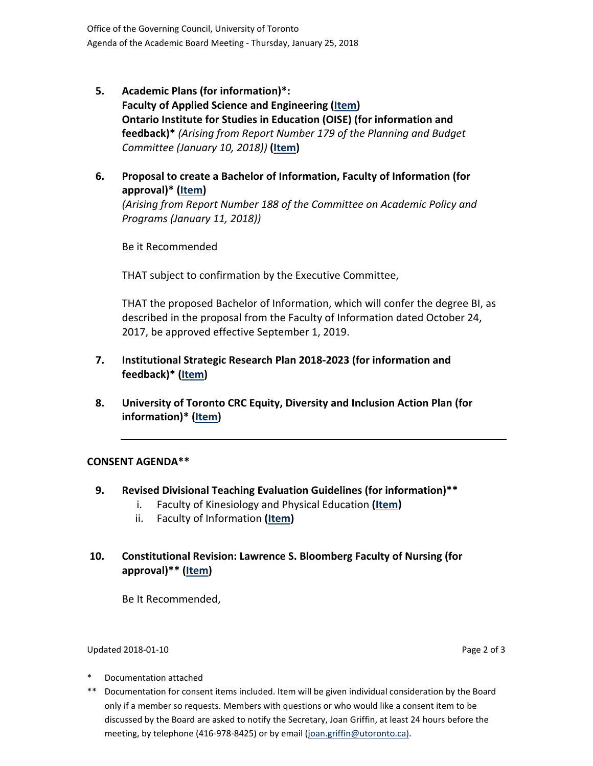- **5. Academic Plans (for information)\*: Faculty of Applied Science and Engineering [\(Item\)](http://www.governingcouncil.lamp4.utoronto.ca/wp-content/uploads/2018/01/a0125-5ai-2017-2018ab.pdf) Ontario Institute for Studies in Education (OISE) (for information and feedback)\*** *(Arising from Report Number 179 of the Planning and Budget Committee (January 10, 2018))* **[\(Item\)](http://www.governingcouncil.lamp4.utoronto.ca/wp-content/uploads/2018/01/a0125-5bi-2017-2018ab.pdf)**
- **6. Proposal to create a Bachelor of Information, Faculty of Information (for approval)\* [\(Item\)](http://www.governingcouncil.lamp4.utoronto.ca/wp-content/uploads/2018/01/a0125-6i-2017-2018ab.pdf)**

*(Arising from Report Number 188 of the Committee on Academic Policy and Programs (January 11, 2018))*

Be it Recommended

THAT subject to confirmation by the Executive Committee,

THAT the proposed Bachelor of Information, which will confer the degree BI, as described in the proposal from the Faculty of Information dated October 24, 2017, be approved effective September 1, 2019.

- **7. Institutional Strategic Research Plan 2018-2023 (for information and feedback)\* [\(Item\)](http://www.governingcouncil.lamp4.utoronto.ca/wp-content/uploads/2018/01/a0125-7i-2017-2018ab.pdf)**
- **8. University of Toronto CRC Equity, Diversity and Inclusion Action Plan (for information)\* [\(Item\)](http://www.governingcouncil.lamp4.utoronto.ca/wp-content/uploads/2018/01/a0125-8-2017-2018ab.pdf)**

#### **CONSENT AGENDA\*\***

- **9. Revised Divisional Teaching Evaluation Guidelines (for information)\*\***
	- i. Faculty of Kinesiology and Physical Education **[\(Item\)](http://www.governingcouncil.lamp4.utoronto.ca/wp-content/uploads/2018/01/a0125-9i-2017-2018ab.pdf)**
	- ii. Faculty of Information **[\(Item\)](http://www.governingcouncil.lamp4.utoronto.ca/wp-content/uploads/2018/01/a0125-9iia-2017-2018ab.pdf)**

#### **10. Constitutional Revision: Lawrence S. Bloomberg Faculty of Nursing (for approval)\*\* [\(Item\)](http://www.governingcouncil.lamp4.utoronto.ca/wp-content/uploads/2018/01/a0125-10-2017-2018ab.pdf)**

Be It Recommended,

#### Updated 2018-01-10 Page 2 of 3

- Documentation attached
- \*\* Documentation for consent items included. Item will be given individual consideration by the Board only if a member so requests. Members with questions or who would like a consent item to be discussed by the Board are asked to notify the Secretary, Joan Griffin, at least 24 hours before the meeting, by telephone (416-978-8425) or by email [\(joan.griffin@utoronto.ca\)](mailto:joan.griffin@utoronto.ca).